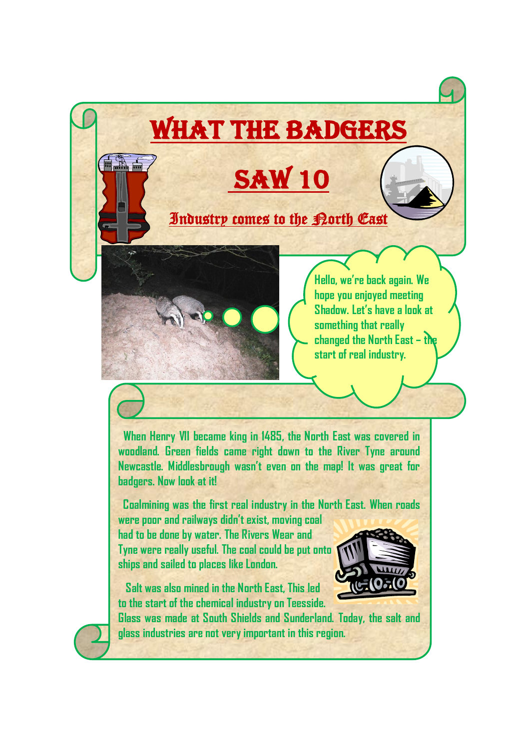